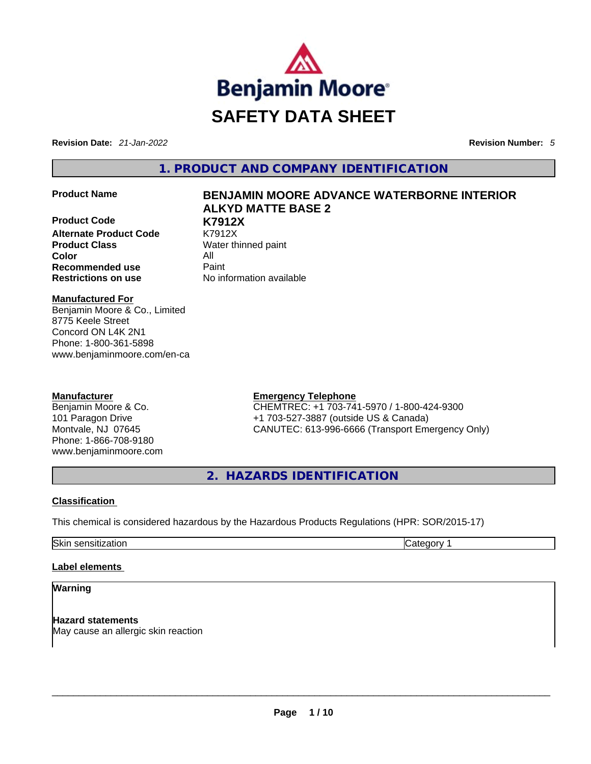

**Revision Date:** *21-Jan-2022* **Revision Number:** *5*

**1. PRODUCT AND COMPANY IDENTIFICATION** 

**Product Code K7912X Alternate Product Code** K7912X **Product Class Water thinned paint Color** All **Recommended use <b>Paint Restrictions on use** No information available

# **Product Name BENJAMIN MOORE ADVANCE WATERBORNE INTERIOR ALKYD MATTE BASE 2**

**Manufactured For** Benjamin Moore & Co., Limited 8775 Keele Street Concord ON L4K 2N1 Phone: 1-800-361-5898

www.benjaminmoore.com/en-ca

## **Manufacturer**

Benjamin Moore & Co. 101 Paragon Drive Montvale, NJ 07645 Phone: 1-866-708-9180 www.benjaminmoore.com

## **Emergency Telephone**

CHEMTREC: +1 703-741-5970 / 1-800-424-9300 +1 703-527-3887 (outside US & Canada) CANUTEC: 613-996-6666 (Transport Emergency Only)

**2. HAZARDS IDENTIFICATION** 

## **Classification**

This chemical is considered hazardous by the Hazardous Products Regulations (HPR: SOR/2015-17)

Skin sensitization **Category 1 Category 1** 

## **Label elements**

## **Warning**

**Hazard statements** May cause an allergic skin reaction \_\_\_\_\_\_\_\_\_\_\_\_\_\_\_\_\_\_\_\_\_\_\_\_\_\_\_\_\_\_\_\_\_\_\_\_\_\_\_\_\_\_\_\_\_\_\_\_\_\_\_\_\_\_\_\_\_\_\_\_\_\_\_\_\_\_\_\_\_\_\_\_\_\_\_\_\_\_\_\_\_\_\_\_\_\_\_\_\_\_\_\_\_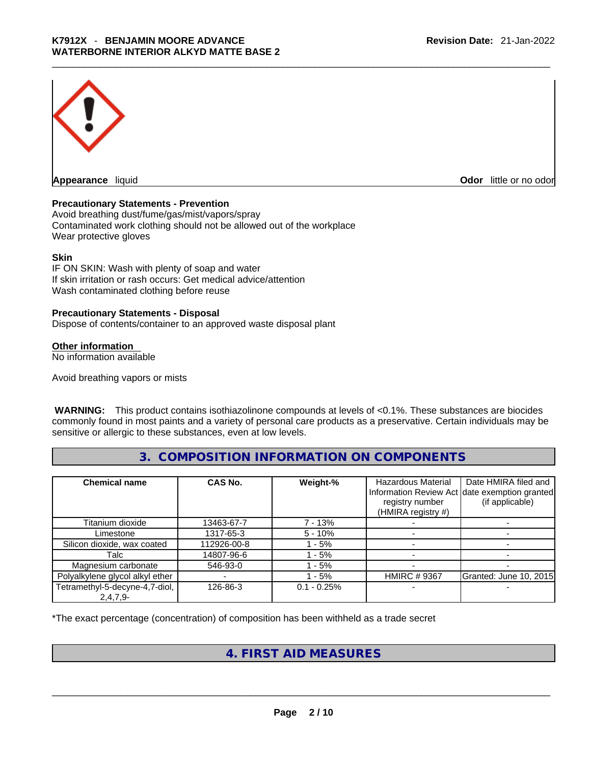

**Odor** little or no odor

## **Precautionary Statements - Prevention**

Avoid breathing dust/fume/gas/mist/vapors/spray Contaminated work clothing should not be allowed out of the workplace Wear protective gloves

#### **Skin**

IF ON SKIN: Wash with plenty of soap and water If skin irritation or rash occurs: Get medical advice/attention Wash contaminated clothing before reuse

## **Precautionary Statements - Disposal**

Dispose of contents/container to an approved waste disposal plant

#### **Other information**

No information available

Avoid breathing vapors or mists

 **WARNING:** This product contains isothiazolinone compounds at levels of <0.1%. These substances are biocides commonly found in most paints and a variety of personal care products as a preservative. Certain individuals may be sensitive or allergic to these substances, even at low levels.

# **3. COMPOSITION INFORMATION ON COMPONENTS**

| <b>Chemical name</b>            | CAS No.     | Weight-%      | Hazardous Material<br>registry number<br>(HMIRA registry #) | Date HMIRA filed and<br>Information Review Act date exemption granted<br>(if applicable) |
|---------------------------------|-------------|---------------|-------------------------------------------------------------|------------------------------------------------------------------------------------------|
| Titanium dioxide                | 13463-67-7  | 7 - 13%       |                                                             |                                                                                          |
| Limestone                       | 1317-65-3   | $5 - 10\%$    |                                                             |                                                                                          |
| Silicon dioxide, wax coated     | 112926-00-8 | $-5%$         |                                                             |                                                                                          |
| Talc                            | 14807-96-6  | - 5%          |                                                             |                                                                                          |
| Magnesium carbonate             | 546-93-0    | - 5%          |                                                             |                                                                                          |
| Polyalkylene glycol alkyl ether |             | $-5%$         | <b>HMIRC #9367</b>                                          | Granted: June 10, 2015                                                                   |
| Tetramethyl-5-decyne-4,7-diol,  | 126-86-3    | $0.1 - 0.25%$ |                                                             |                                                                                          |
| $2,4,7,9-$                      |             |               |                                                             |                                                                                          |

\*The exact percentage (concentration) of composition has been withheld as a trade secret

# **4. FIRST AID MEASURES**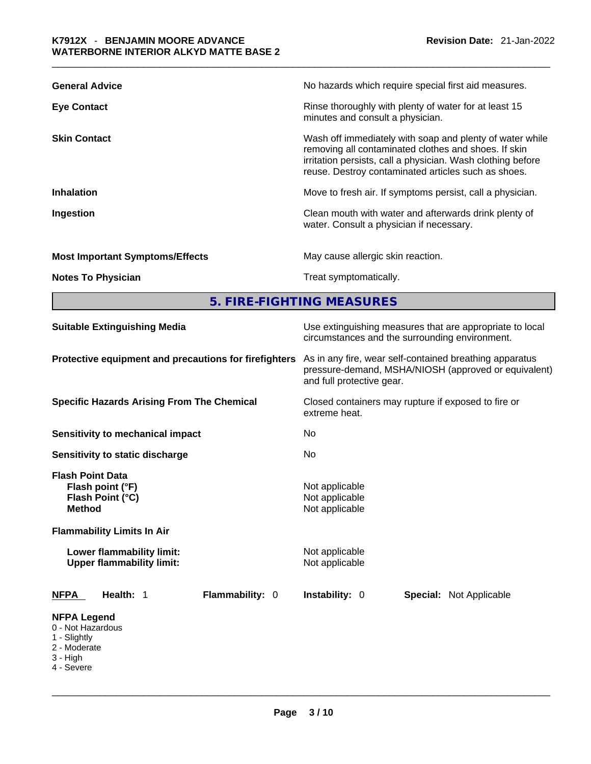| <b>General Advice</b>                  | No hazards which require special first aid measures.                                                                                                                                                                                   |
|----------------------------------------|----------------------------------------------------------------------------------------------------------------------------------------------------------------------------------------------------------------------------------------|
| <b>Eye Contact</b>                     | Rinse thoroughly with plenty of water for at least 15<br>minutes and consult a physician.                                                                                                                                              |
| <b>Skin Contact</b>                    | Wash off immediately with soap and plenty of water while<br>removing all contaminated clothes and shoes. If skin<br>irritation persists, call a physician. Wash clothing before<br>reuse. Destroy contaminated articles such as shoes. |
| <b>Inhalation</b>                      | Move to fresh air. If symptoms persist, call a physician.                                                                                                                                                                              |
| Ingestion                              | Clean mouth with water and afterwards drink plenty of<br>water. Consult a physician if necessary.                                                                                                                                      |
| <b>Most Important Symptoms/Effects</b> | May cause allergic skin reaction.                                                                                                                                                                                                      |
| <b>Notes To Physician</b>              | Treat symptomatically.                                                                                                                                                                                                                 |
|                                        | 5. FIRE-FIGHTING MEASURES                                                                                                                                                                                                              |

| <b>Suitable Extinguishing Media</b>                                                                                   | Use extinguishing measures that are appropriate to local<br>circumstances and the surrounding environment.<br>As in any fire, wear self-contained breathing apparatus<br>pressure-demand, MSHA/NIOSH (approved or equivalent)<br>and full protective gear. |  |  |  |
|-----------------------------------------------------------------------------------------------------------------------|------------------------------------------------------------------------------------------------------------------------------------------------------------------------------------------------------------------------------------------------------------|--|--|--|
| Protective equipment and precautions for firefighters                                                                 |                                                                                                                                                                                                                                                            |  |  |  |
| <b>Specific Hazards Arising From The Chemical</b>                                                                     | Closed containers may rupture if exposed to fire or<br>extreme heat.                                                                                                                                                                                       |  |  |  |
| <b>Sensitivity to mechanical impact</b>                                                                               | No                                                                                                                                                                                                                                                         |  |  |  |
| Sensitivity to static discharge                                                                                       | No.                                                                                                                                                                                                                                                        |  |  |  |
| <b>Flash Point Data</b><br>Flash point (°F)<br>Flash Point (°C)<br><b>Method</b><br><b>Flammability Limits In Air</b> | Not applicable<br>Not applicable<br>Not applicable                                                                                                                                                                                                         |  |  |  |
| Lower flammability limit:<br><b>Upper flammability limit:</b>                                                         | Not applicable<br>Not applicable                                                                                                                                                                                                                           |  |  |  |
| Health: 1<br>Flammability: 0<br><b>NFPA</b>                                                                           | Instability: 0<br><b>Special: Not Applicable</b>                                                                                                                                                                                                           |  |  |  |
| <b>NFPA Legend</b><br>0 - Not Hazardous<br>1 - Slightly<br>2 - Moderate<br>3 - High<br>4 - Severe                     |                                                                                                                                                                                                                                                            |  |  |  |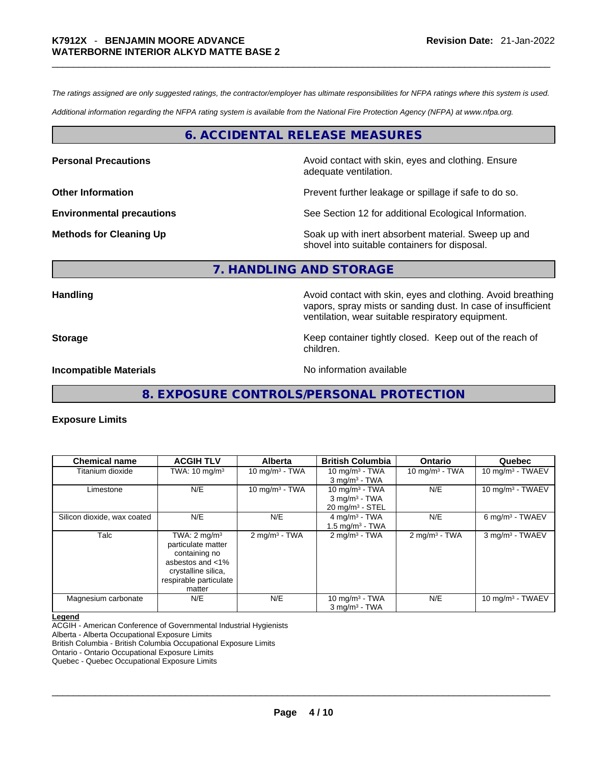*The ratings assigned are only suggested ratings, the contractor/employer has ultimate responsibilities for NFPA ratings where this system is used.* 

*Additional information regarding the NFPA rating system is available from the National Fire Protection Agency (NFPA) at www.nfpa.org.* 

## **6. ACCIDENTAL RELEASE MEASURES**

**Personal Precautions Avoid contact with skin, eyes and clothing. Ensure Personal Precautions** adequate ventilation.

**Other Information Discription Prevent further leakage or spillage if safe to do so.** 

**Environmental precautions** See Section 12 for additional Ecological Information.

**Methods for Cleaning Up Example 20 Soak** up with inert absorbent material. Sweep up and shovel into suitable containers for disposal.

## **7. HANDLING AND STORAGE**

**Handling Handling Avoid contact with skin, eyes and clothing. Avoid breathing** vapors, spray mists or sanding dust. In case of insufficient ventilation, wear suitable respiratory equipment.

**Storage Example 20 Keep container tightly closed. Keep out of the reach of**  $\mathbf{K}$ 

**Incompatible Materials Materials** No information available

**8. EXPOSURE CONTROLS/PERSONAL PROTECTION** 

children.

## **Exposure Limits**

| <b>Chemical name</b>        | <b>ACGIH TLV</b>                                                                                                                              | <b>Alberta</b>              | <b>British Columbia</b>                                                        | <b>Ontario</b>          | Quebec                        |
|-----------------------------|-----------------------------------------------------------------------------------------------------------------------------------------------|-----------------------------|--------------------------------------------------------------------------------|-------------------------|-------------------------------|
| Titanium dioxide            | TWA: $10 \text{ mg/m}^3$                                                                                                                      | 10 mg/m $3$ - TWA           | 10 mg/m $3$ - TWA<br>$3$ mg/m <sup>3</sup> - TWA                               | 10 mg/m $3$ - TWA       | 10 mg/m <sup>3</sup> - TWAEV  |
| Limestone                   | N/E                                                                                                                                           | $10 \text{ mg/m}^3$ - TWA   | 10 mg/m $3$ - TWA<br>$3$ mg/m <sup>3</sup> - TWA<br>$20 \text{ mg/m}^3$ - STEL | N/E                     | 10 mg/m <sup>3</sup> - TWAEV  |
| Silicon dioxide, wax coated | N/E                                                                                                                                           | N/E                         | 4 mg/m <sup>3</sup> - TWA<br>1.5 mg/m $3$ - TWA                                | N/E                     | $6$ mg/m <sup>3</sup> - TWAEV |
| Talc                        | TWA: $2 \text{ mg/m}^3$<br>particulate matter<br>containing no<br>asbestos and <1%<br>crystalline silica,<br>respirable particulate<br>matter | $2$ mg/m <sup>3</sup> - TWA | $2 \text{mq/m}^3$ - TWA                                                        | $2 \text{mq/m}^3$ - TWA | 3 mg/m <sup>3</sup> - TWAEV   |
| Magnesium carbonate         | N/E                                                                                                                                           | N/E                         | 10 mg/m $3$ - TWA<br>$3$ mg/m <sup>3</sup> - TWA                               | N/E                     | 10 mg/m $3$ - TWAEV           |

#### **Legend**

ACGIH - American Conference of Governmental Industrial Hygienists

Alberta - Alberta Occupational Exposure Limits

British Columbia - British Columbia Occupational Exposure Limits Ontario - Ontario Occupational Exposure Limits

Quebec - Quebec Occupational Exposure Limits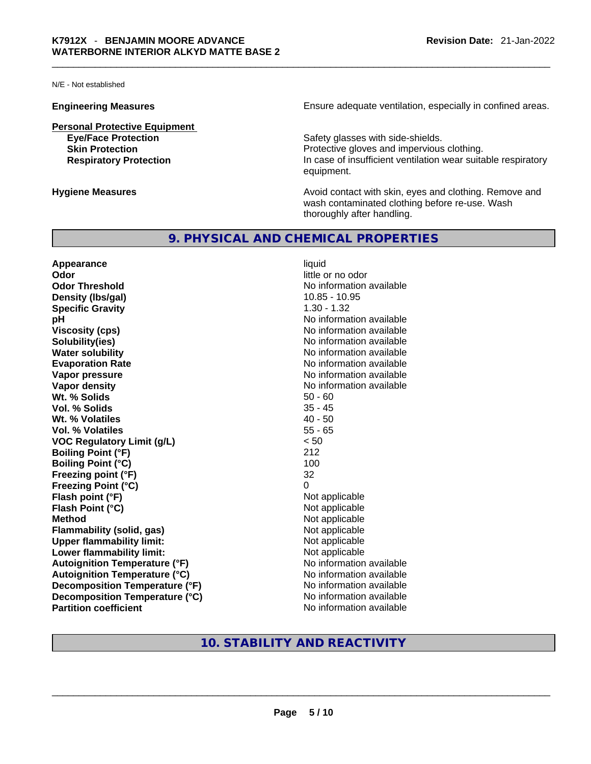N/E - Not established

**Personal Protective Equipment**

**Engineering Measures Ensure** Ensure adequate ventilation, especially in confined areas.

**Eye/Face Protection**<br> **Safety glasses with side-shields.**<br> **Skin Protection**<br> **Protective gloves and impervious** Protective gloves and impervious clothing. **Respiratory Protection In case of insufficient ventilation wear suitable respiratory** equipment.

**Hygiene Measures Avoid contact with skin, eyes and clothing. Remove and Avoid contact with skin, eyes and clothing. Remove and Avoid contact with skin, eyes and clothing. Remove and** wash contaminated clothing before re-use. Wash thoroughly after handling.

## **9. PHYSICAL AND CHEMICAL PROPERTIES**

**Appearance** liquid **Odor Odor Odor Odor Odor Odor** *little* **or no odor Odor Threshold** No information available **Density** (Ibs/gal) 10.85 - 10.95 **Specific Gravity** 1.30 - 1.32 **pH bH 1 Viscosity (cps) Viscosity (cps) No information available Solubility(ies)** No information available **Water solubility**  No information available **Evaporation Rate No information available No information available Vapor pressure**  No information available **Vapor pressure No information available Vapor density No information available No information available Wt. % Solids** 50 - 60 **Vol. % Solids** 35 - 45 **Wt. % Volatiles Vol. % Volatiles** 55 - 65 **VOC Regulatory Limit (g/L)** < 50 **Boiling Point (°F)** 212 **Boiling Point (°C)** 100<br> **Preezing point (°F)** 100<br>
22 **Freezing point (°F) Freezing Point (°C)** 0 **Flash point (°F)**<br> **Flash Point (°C)**<br> **Flash Point (°C)**<br> **C Flash Point (°C) Method** Not applicable **Flammability (solid, gas)**<br> **Upper flammability limit:**<br>
Upper flammability limit:<br>  $\begin{array}{ccc}\n\bullet & \bullet & \bullet \\
\bullet & \bullet & \bullet\n\end{array}$  Not applicable **Upper flammability limit:**<br> **Lower flammability limit:**<br>
Not applicable<br>
Not applicable **Lower flammability limit: Autoignition Temperature (°F)**<br> **Autoignition Temperature (°C)** No information available **Autoignition Temperature (°C)**<br> **Decomposition Temperature (°F)** No information available **Decomposition Temperature (°F) Decomposition Temperature (°C)** No information available<br> **Partition coefficient Partition available Partition coefficient** 

# **10. STABILITY AND REACTIVITY**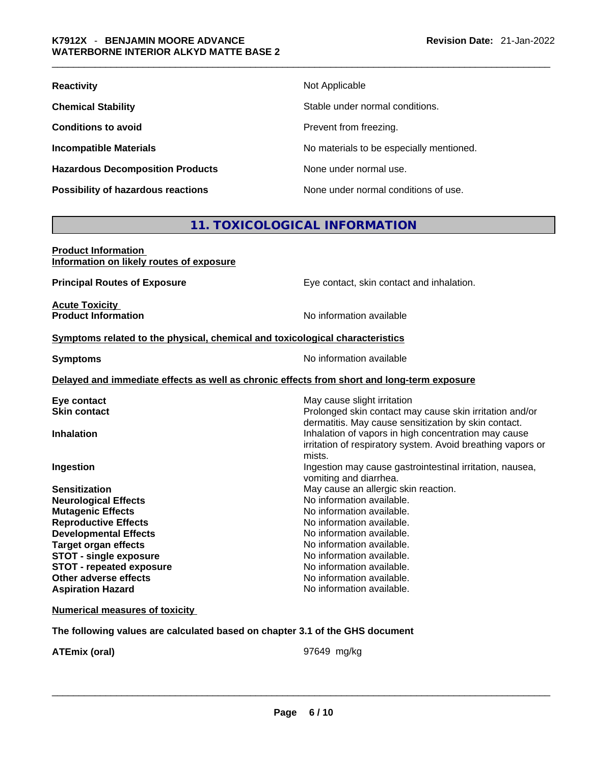| <b>Reactivity</b>                         | Not Applicable                           |
|-------------------------------------------|------------------------------------------|
| <b>Chemical Stability</b>                 | Stable under normal conditions.          |
| <b>Conditions to avoid</b>                | Prevent from freezing.                   |
| <b>Incompatible Materials</b>             | No materials to be especially mentioned. |
| <b>Hazardous Decomposition Products</b>   | None under normal use.                   |
| <b>Possibility of hazardous reactions</b> | None under normal conditions of use.     |

# **11. TOXICOLOGICAL INFORMATION**

| <b>Product Information</b> |                                          |  |
|----------------------------|------------------------------------------|--|
|                            | Information on likely routes of exposure |  |

**Acute Toxicity<br>Product Information** 

**Principal Routes of Exposure Exposure** Eye contact, skin contact and inhalation.

**No information available** 

## **Symptoms related to the physical, chemical and toxicological characteristics**

**Symptoms Symptoms No information available** 

#### **Delayed and immediate effects as well as chronic effects from short and long-term exposure**

| Eye contact                     | May cause slight irritation                                 |
|---------------------------------|-------------------------------------------------------------|
| <b>Skin contact</b>             | Prolonged skin contact may cause skin irritation and/or     |
|                                 | dermatitis. May cause sensitization by skin contact.        |
| <b>Inhalation</b>               | Inhalation of vapors in high concentration may cause        |
|                                 | irritation of respiratory system. Avoid breathing vapors or |
|                                 | mists.                                                      |
| Ingestion                       | Ingestion may cause gastrointestinal irritation, nausea,    |
|                                 | vomiting and diarrhea.                                      |
| <b>Sensitization</b>            | May cause an allergic skin reaction.                        |
| <b>Neurological Effects</b>     | No information available.                                   |
| <b>Mutagenic Effects</b>        | No information available.                                   |
| <b>Reproductive Effects</b>     | No information available.                                   |
| <b>Developmental Effects</b>    | No information available.                                   |
| <b>Target organ effects</b>     | No information available.                                   |
| <b>STOT - single exposure</b>   | No information available.                                   |
| <b>STOT - repeated exposure</b> | No information available.                                   |
| Other adverse effects           | No information available.                                   |
| <b>Aspiration Hazard</b>        | No information available.                                   |

**Numerical measures of toxicity**

**The following values are calculated based on chapter 3.1 of the GHS document**

**ATEmix (oral)** 97649 mg/kg \_\_\_\_\_\_\_\_\_\_\_\_\_\_\_\_\_\_\_\_\_\_\_\_\_\_\_\_\_\_\_\_\_\_\_\_\_\_\_\_\_\_\_\_\_\_\_\_\_\_\_\_\_\_\_\_\_\_\_\_\_\_\_\_\_\_\_\_\_\_\_\_\_\_\_\_\_\_\_\_\_\_\_\_\_\_\_\_\_\_\_\_\_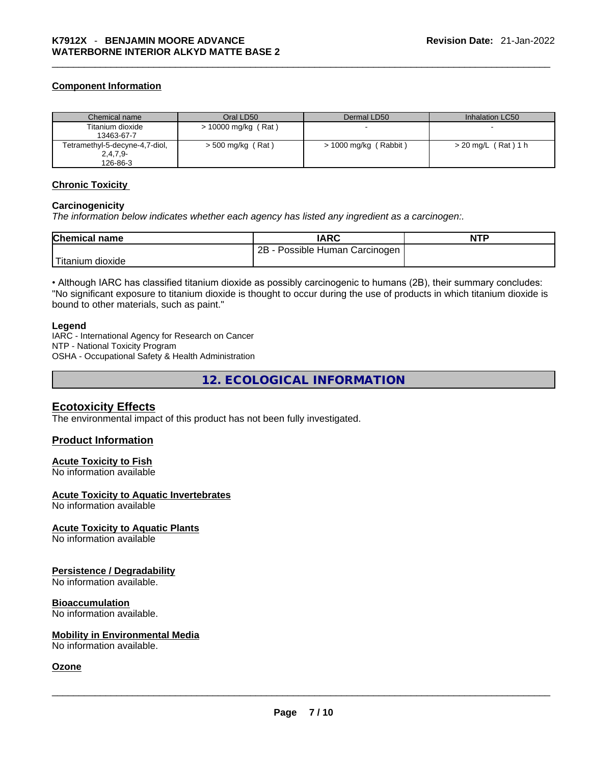## **Component Information**

| Chemical name                  | Oral LD50             | Dermal LD50           | Inhalation LC50     |
|--------------------------------|-----------------------|-----------------------|---------------------|
| Titanium dioxide               | $> 10000$ mg/kg (Rat) |                       |                     |
| 13463-67-7                     |                       |                       |                     |
| Tetramethyl-5-decyne-4,7-diol, | $>$ 500 mg/kg (Rat)   | > 1000 mg/kg (Rabbit) | > 20 mg/L (Rat) 1 h |
| $2,4,7,9-$                     |                       |                       |                     |
| 126-86-3                       |                       |                       |                     |

#### **Chronic Toxicity**

#### **Carcinogenicity**

*The information below indicates whether each agency has listed any ingredient as a carcinogen:.* 

| <b>Chemical name</b> | IARC                            | <b>NTP</b> |
|----------------------|---------------------------------|------------|
|                      | 2B<br>Possible Human Carcinogen |            |
| Titanium dioxide     |                                 |            |

• Although IARC has classified titanium dioxide as possibly carcinogenic to humans (2B), their summary concludes: "No significant exposure to titanium dioxide is thought to occur during the use of products in which titanium dioxide is bound to other materials, such as paint."

#### **Legend**

IARC - International Agency for Research on Cancer NTP - National Toxicity Program OSHA - Occupational Safety & Health Administration

**12. ECOLOGICAL INFORMATION** 

## **Ecotoxicity Effects**

The environmental impact of this product has not been fully investigated.

## **Product Information**

## **Acute Toxicity to Fish**

No information available

## **Acute Toxicity to Aquatic Invertebrates**

No information available

## **Acute Toxicity to Aquatic Plants**

No information available

## **Persistence / Degradability**

No information available.

## **Bioaccumulation**

No information available.

## **Mobility in Environmental Media**

No information available. \_\_\_\_\_\_\_\_\_\_\_\_\_\_\_\_\_\_\_\_\_\_\_\_\_\_\_\_\_\_\_\_\_\_\_\_\_\_\_\_\_\_\_\_\_\_\_\_\_\_\_\_\_\_\_\_\_\_\_\_\_\_\_\_\_\_\_\_\_\_\_\_\_\_\_\_\_\_\_\_\_\_\_\_\_\_\_\_\_\_\_\_\_

## **Ozone**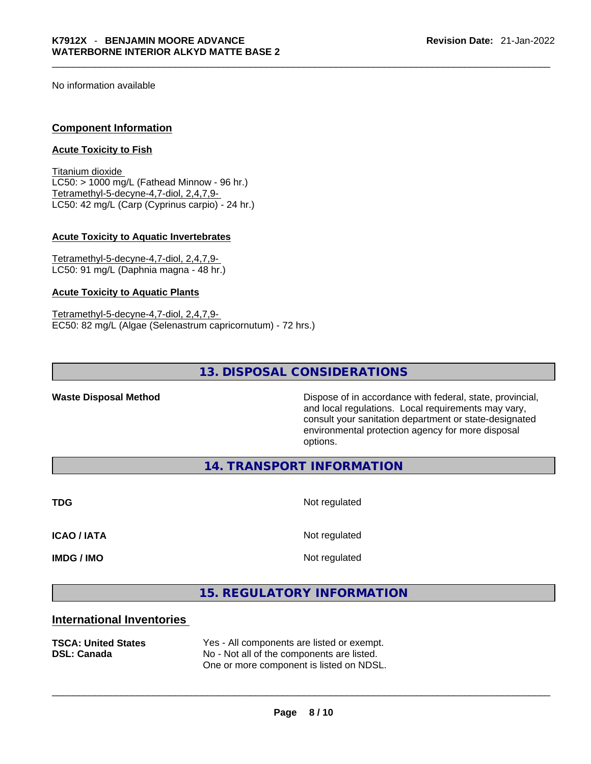No information available

## **Component Information**

## **Acute Toxicity to Fish**

Titanium dioxide  $LC50:$  > 1000 mg/L (Fathead Minnow - 96 hr.) Tetramethyl-5-decyne-4,7-diol, 2,4,7,9- LC50: 42 mg/L (Carp (Cyprinus carpio) - 24 hr.)

## **Acute Toxicity to Aquatic Invertebrates**

Tetramethyl-5-decyne-4,7-diol, 2,4,7,9- LC50: 91 mg/L (Daphnia magna - 48 hr.)

#### **Acute Toxicity to Aquatic Plants**

Tetramethyl-5-decyne-4,7-diol, 2,4,7,9- EC50: 82 mg/L (Algae (Selenastrum capricornutum) - 72 hrs.)

# **13. DISPOSAL CONSIDERATIONS**

**Waste Disposal Method** Dispose of in accordance with federal, state, provincial, and local regulations. Local requirements may vary, consult your sanitation department or state-designated environmental protection agency for more disposal options.

**14. TRANSPORT INFORMATION** 

**TDG** Not regulated

**ICAO / IATA** Not regulated

**IMDG / IMO** Not regulated

# **15. REGULATORY INFORMATION**

## **International Inventories**

| <b>TSCA: United States</b><br><b>DSL: Canada</b> | Yes - All components are listed or exempt.<br>No - Not all of the components are listed.<br>One or more component is listed on NDSL. |
|--------------------------------------------------|--------------------------------------------------------------------------------------------------------------------------------------|
|                                                  |                                                                                                                                      |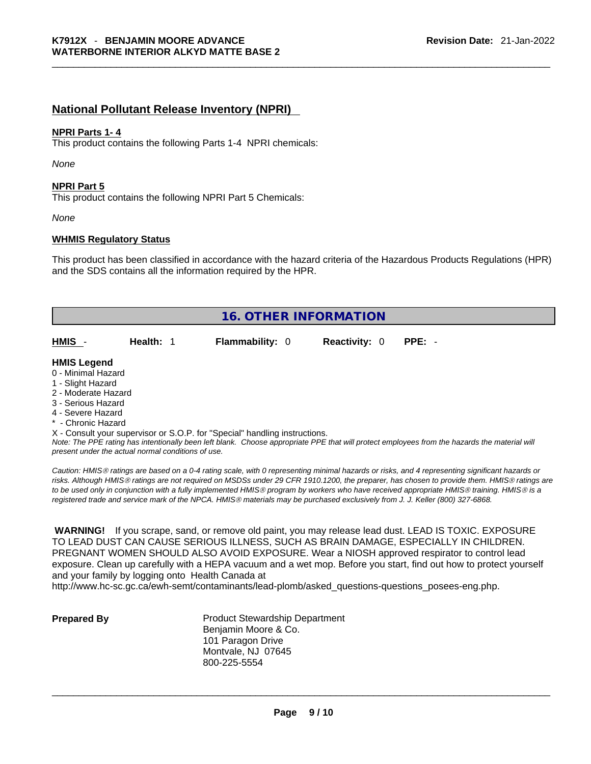# **National Pollutant Release Inventory (NPRI)**

## **NPRI Parts 1- 4**

This product contains the following Parts 1-4 NPRI chemicals:

*None*

#### **NPRI Part 5**

This product contains the following NPRI Part 5 Chemicals:

*None*

## **WHMIS Regulatory Status**

This product has been classified in accordance with the hazard criteria of the Hazardous Products Regulations (HPR) and the SDS contains all the information required by the HPR.

| <b>16. OTHER INFORMATION</b>                                                                                                                          |           |                                                                            |                      |          |  |
|-------------------------------------------------------------------------------------------------------------------------------------------------------|-----------|----------------------------------------------------------------------------|----------------------|----------|--|
| HMIS                                                                                                                                                  | Health: 1 | <b>Flammability: 0</b>                                                     | <b>Reactivity: 0</b> | $PPE: -$ |  |
| <b>HMIS Legend</b><br>0 - Minimal Hazard<br>1 - Slight Hazard<br>2 - Moderate Hazard<br>3 - Serious Hazard<br>4 - Severe Hazard<br>* - Chronic Hazard |           | X - Consult your supervisor or S.O.P. for "Special" handling instructions. |                      |          |  |

*Note: The PPE rating has intentionally been left blank. Choose appropriate PPE that will protect employees from the hazards the material will present under the actual normal conditions of use.* 

*Caution: HMISÒ ratings are based on a 0-4 rating scale, with 0 representing minimal hazards or risks, and 4 representing significant hazards or risks. Although HMISÒ ratings are not required on MSDSs under 29 CFR 1910.1200, the preparer, has chosen to provide them. HMISÒ ratings are to be used only in conjunction with a fully implemented HMISÒ program by workers who have received appropriate HMISÒ training. HMISÒ is a registered trade and service mark of the NPCA. HMISÒ materials may be purchased exclusively from J. J. Keller (800) 327-6868.* 

 **WARNING!** If you scrape, sand, or remove old paint, you may release lead dust. LEAD IS TOXIC. EXPOSURE TO LEAD DUST CAN CAUSE SERIOUS ILLNESS, SUCH AS BRAIN DAMAGE, ESPECIALLY IN CHILDREN. PREGNANT WOMEN SHOULD ALSO AVOID EXPOSURE.Wear a NIOSH approved respirator to control lead exposure. Clean up carefully with a HEPA vacuum and a wet mop. Before you start, find out how to protect yourself and your family by logging onto Health Canada at

http://www.hc-sc.gc.ca/ewh-semt/contaminants/lead-plomb/asked\_questions-questions\_posees-eng.php.

**Prepared By Product Stewardship Department** Benjamin Moore & Co. 101 Paragon Drive Montvale, NJ 07645 800-225-5554